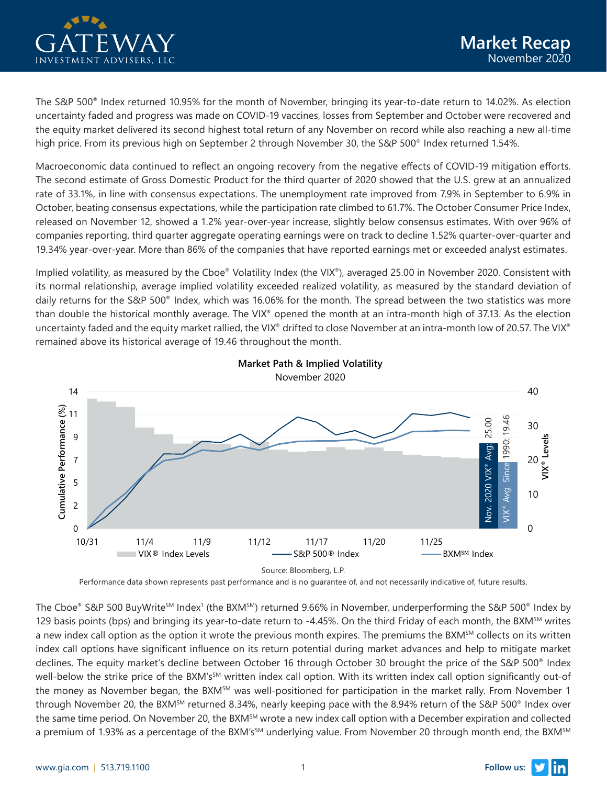

The S&P 500® Index returned 10.95% for the month of November, bringing its year-to-date return to 14.02%. As election uncertainty faded and progress was made on COVID-19 vaccines, losses from September and October were recovered and the equity market delivered its second highest total return of any November on record while also reaching a new all-time high price. From its previous high on September 2 through November 30, the S&P 500<sup>®</sup> Index returned 1.54%.

Macroeconomic data continued to reflect an ongoing recovery from the negative effects of COVID-19 mitigation efforts. The second estimate of Gross Domestic Product for the third quarter of 2020 showed that the U.S. grew at an annualized rate of 33.1%, in line with consensus expectations. The unemployment rate improved from 7.9% in September to 6.9% in October, beating consensus expectations, while the participation rate climbed to 61.7%. The October Consumer Price Index, released on November 12, showed a 1.2% year-over-year increase, slightly below consensus estimates. With over 96% of companies reporting, third quarter aggregate operating earnings were on track to decline 1.52% quarter-over-quarter and 19.34% year-over-year. More than 86% of the companies that have reported earnings met or exceeded analyst estimates.

Implied volatility, as measured by the Cboe® Volatility Index (the VIX®), averaged 25.00 in November 2020. Consistent with its normal relationship, average implied volatility exceeded realized volatility, as measured by the standard deviation of daily returns for the S&P 500® Index, which was 16.06% for the month. The spread between the two statistics was more than double the historical monthly average. The VIX® opened the month at an intra-month high of 37.13. As the election uncertainty faded and the equity market rallied, the VIX® drifted to close November at an intra-month low of 20.57. The VIX® remained above its historical average of 19.46 throughout the month.



Performance data shown represents past performance and is no guarantee of, and not necessarily indicative of, future results.

The Cboe® S&P 500 BuyWriteSM Index1 (the BXMSM) returned 9.66% in November, underperforming the S&P 500® Index by 129 basis points (bps) and bringing its year-to-date return to  $-4.45%$ . On the third Friday of each month, the BXM $^{5M}$  writes a new index call option as the option it wrote the previous month expires. The premiums the BXM $^{SM}$  collects on its written index call options have significant influence on its return potential during market advances and help to mitigate market declines. The equity market's decline between October 16 through October 30 brought the price of the S&P 500® Index well-below the strike price of the BXM's<sup>SM</sup> written index call option. With its written index call option significantly out-of the money as November began, the BXM<sup>SM</sup> was well-positioned for participation in the market rally. From November 1 through November 20, the BXM<sup>SM</sup> returned 8.34%, nearly keeping pace with the 8.94% return of the S&P 500<sup>®</sup> Index over the same time period. On November 20, the BXM<sup>SM</sup> wrote a new index call option with a December expiration and collected a premium of 1.93% as a percentage of the BXM's<sup>SM</sup> underlying value. From November 20 through month end, the BXM<sup>SM</sup>